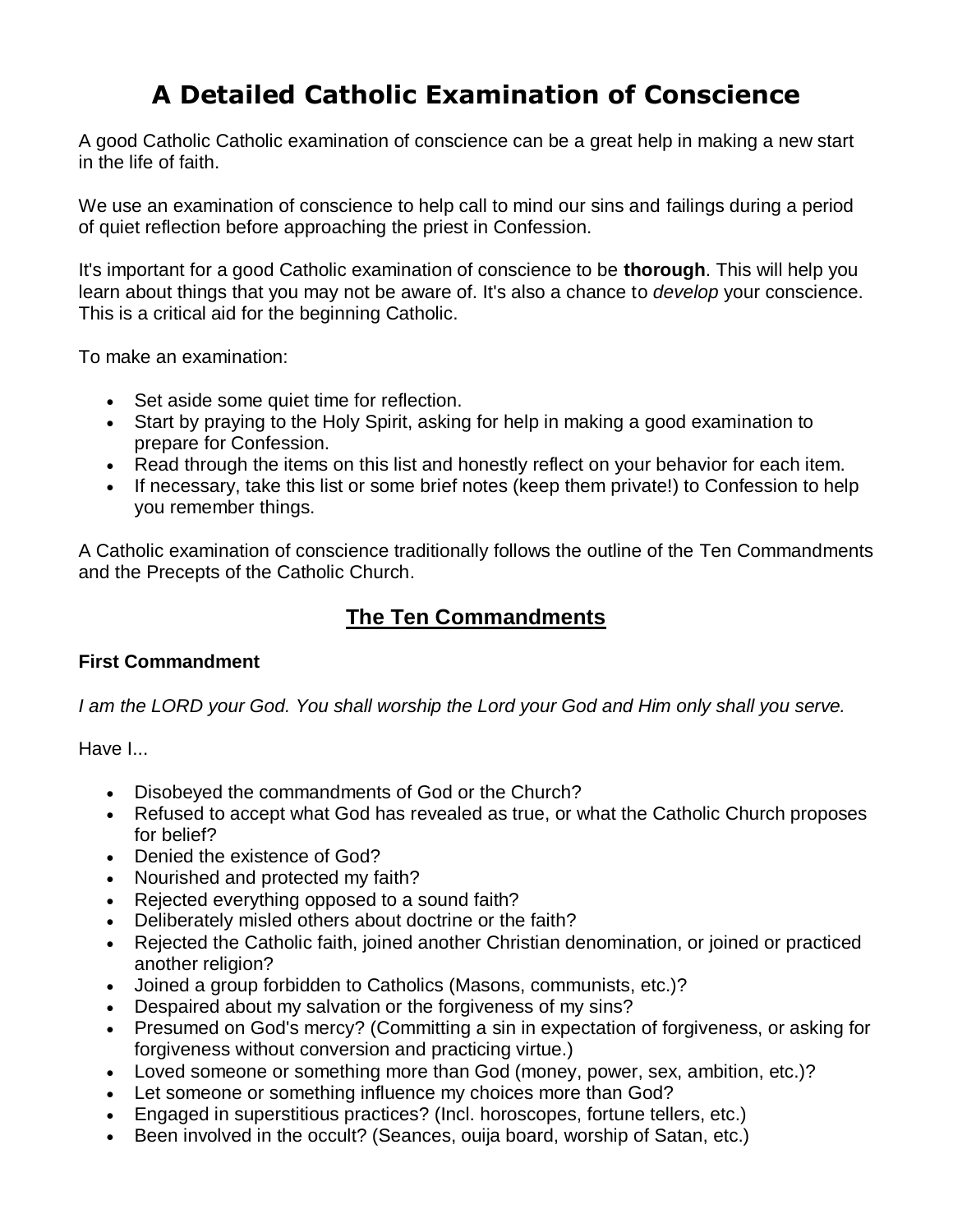# **A Detailed Catholic Examination of Conscience**

A good Catholic Catholic examination of conscience can be a great help in making a new start in the life of faith.

We use an examination of conscience to help call to mind our sins and failings during a period of quiet reflection before approaching the priest in Confession.

It's important for a good Catholic examination of conscience to be **thorough**. This will help you learn about things that you may not be aware of. It's also a chance to *develop* your conscience. This is a critical aid for the beginning Catholic.

To make an examination:

- Set aside some quiet time for reflection.
- Start by praying to the Holy Spirit, asking for help in making a good examination to prepare for Confession.
- Read through the items on this list and honestly reflect on your behavior for each item.
- If necessary, take this list or some brief notes (keep them private!) to Confession to help you remember things.

A Catholic examination of conscience traditionally follows the outline of the Ten Commandments and the Precepts of the Catholic Church.

# **The Ten Commandments**

# **First Commandment**

*I am the LORD your God. You shall worship the Lord your God and Him only shall you serve.*

- Disobeyed the commandments of God or the Church?
- Refused to accept what God has revealed as true, or what the Catholic Church proposes for belief?
- Denied the existence of God?
- Nourished and protected my faith?
- Rejected everything opposed to a sound faith?
- Deliberately misled others about doctrine or the faith?
- Rejected the Catholic faith, joined another Christian denomination, or joined or practiced another religion?
- Joined a group forbidden to Catholics (Masons, communists, etc.)?
- Despaired about my salvation or the forgiveness of my sins?
- Presumed on God's mercy? (Committing a sin in expectation of forgiveness, or asking for forgiveness without conversion and practicing virtue.)
- Loved someone or something more than God (money, power, sex, ambition, etc.)?
- Let someone or something influence my choices more than God?
- Engaged in superstitious practices? (Incl. horoscopes, fortune tellers, etc.)
- Been involved in the occult? (Seances, ouija board, worship of Satan, etc.)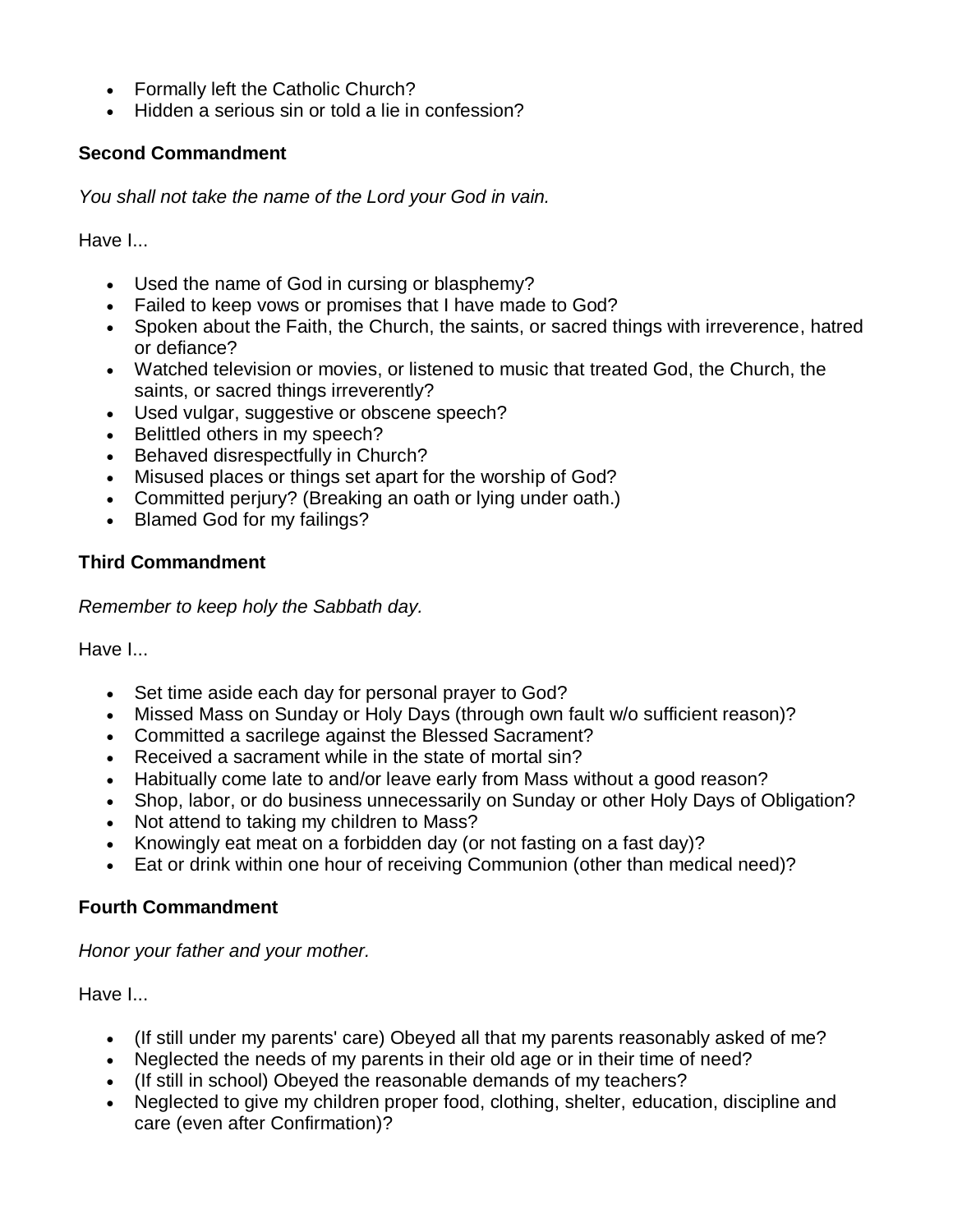- Formally left the Catholic Church?
- Hidden a serious sin or told a lie in confession?

#### **Second Commandment**

*You shall not take the name of the Lord your God in vain.*

Have I...

- Used the name of God in cursing or blasphemy?
- Failed to keep vows or promises that I have made to God?
- Spoken about the Faith, the Church, the saints, or sacred things with irreverence, hatred or defiance?
- Watched television or movies, or listened to music that treated God, the Church, the saints, or sacred things irreverently?
- Used vulgar, suggestive or obscene speech?
- Belittled others in my speech?
- Behaved disrespectfully in Church?
- Misused places or things set apart for the worship of God?
- Committed perjury? (Breaking an oath or lying under oath.)
- Blamed God for my failings?

# **Third Commandment**

*Remember to keep holy the Sabbath day.*

Have I...

- Set time aside each day for personal prayer to God?
- Missed Mass on Sunday or Holy Days (through own fault w/o sufficient reason)?
- Committed a sacrilege against the Blessed Sacrament?
- Received a sacrament while in the state of mortal sin?
- Habitually come late to and/or leave early from Mass without a good reason?
- Shop, labor, or do business unnecessarily on Sunday or other Holy Days of Obligation?
- Not attend to taking my children to Mass?
- Knowingly eat meat on a forbidden day (or not fasting on a fast day)?
- Eat or drink within one hour of receiving Communion (other than medical need)?

#### **Fourth Commandment**

*Honor your father and your mother.*

- (If still under my parents' care) Obeyed all that my parents reasonably asked of me?
- Neglected the needs of my parents in their old age or in their time of need?
- (If still in school) Obeyed the reasonable demands of my teachers?
- Neglected to give my children proper food, clothing, shelter, education, discipline and care (even after Confirmation)?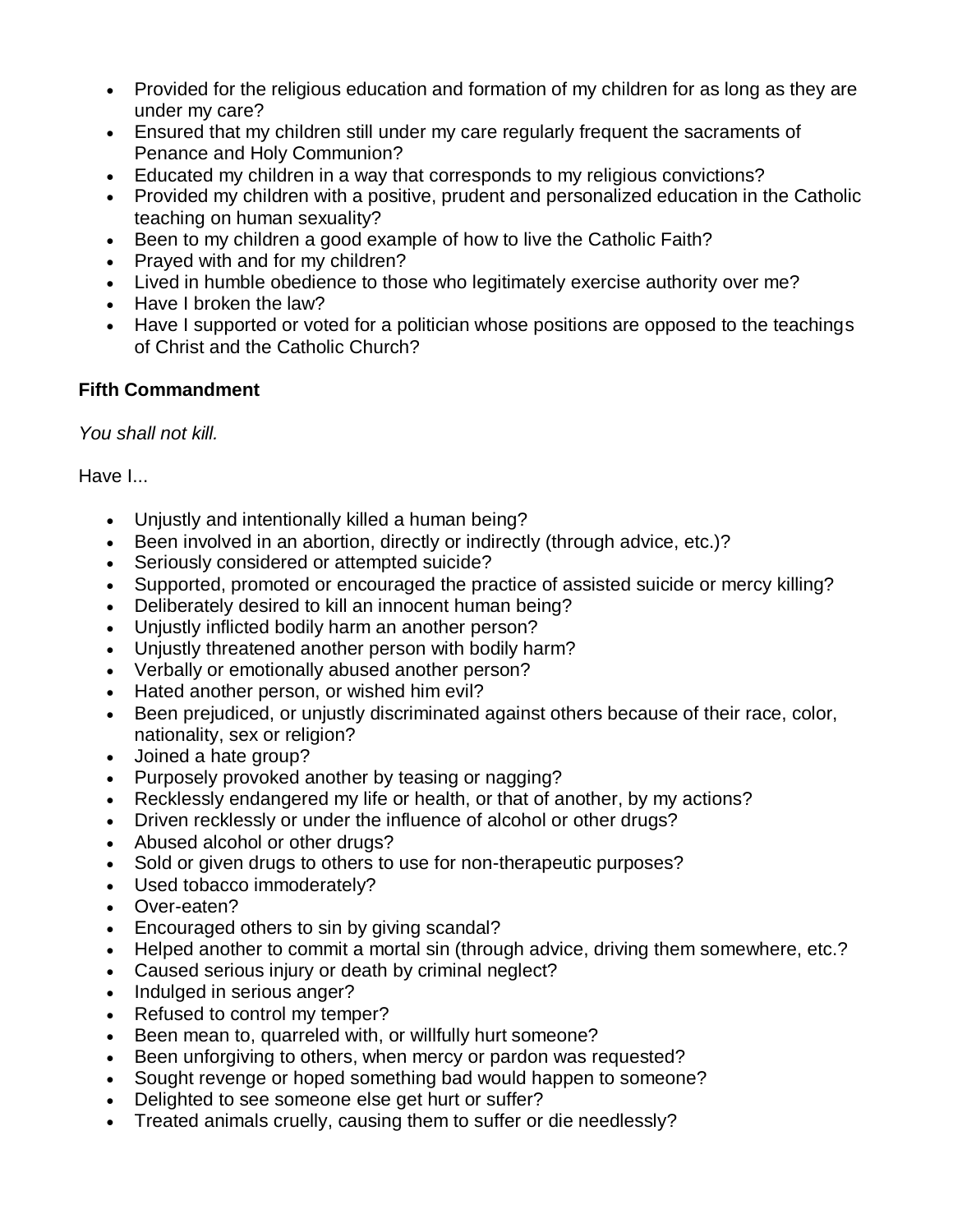- Provided for the religious education and formation of my children for as long as they are under my care?
- Ensured that my children still under my care regularly frequent the sacraments of Penance and Holy Communion?
- Educated my children in a way that corresponds to my religious convictions?
- Provided my children with a positive, prudent and personalized education in the Catholic teaching on human sexuality?
- Been to my children a good example of how to live the Catholic Faith?
- Prayed with and for my children?
- Lived in humble obedience to those who legitimately exercise authority over me?
- Have I broken the law?
- Have I supported or voted for a politician whose positions are opposed to the teachings of Christ and the Catholic Church?

# **Fifth Commandment**

*You shall not kill.*

- Unjustly and intentionally killed a human being?
- Been involved in an abortion, directly or indirectly (through advice, etc.)?
- Seriously considered or attempted suicide?
- Supported, promoted or encouraged the practice of assisted suicide or mercy killing?
- Deliberately desired to kill an innocent human being?
- Unjustly inflicted bodily harm an another person?
- Unjustly threatened another person with bodily harm?
- Verbally or emotionally abused another person?
- Hated another person, or wished him evil?
- Been prejudiced, or unjustly discriminated against others because of their race, color, nationality, sex or religion?
- Joined a hate group?
- Purposely provoked another by teasing or nagging?
- Recklessly endangered my life or health, or that of another, by my actions?
- Driven recklessly or under the influence of alcohol or other drugs?
- Abused alcohol or other drugs?
- Sold or given drugs to others to use for non-therapeutic purposes?
- Used tobacco immoderately?
- Over-eaten?
- Encouraged others to sin by giving scandal?
- Helped another to commit a mortal sin (through advice, driving them somewhere, etc.?
- Caused serious injury or death by criminal neglect?
- Indulged in serious anger?
- Refused to control my temper?
- Been mean to, quarreled with, or willfully hurt someone?
- Been unforgiving to others, when mercy or pardon was requested?
- Sought revenge or hoped something bad would happen to someone?
- Delighted to see someone else get hurt or suffer?
- Treated animals cruelly, causing them to suffer or die needlessly?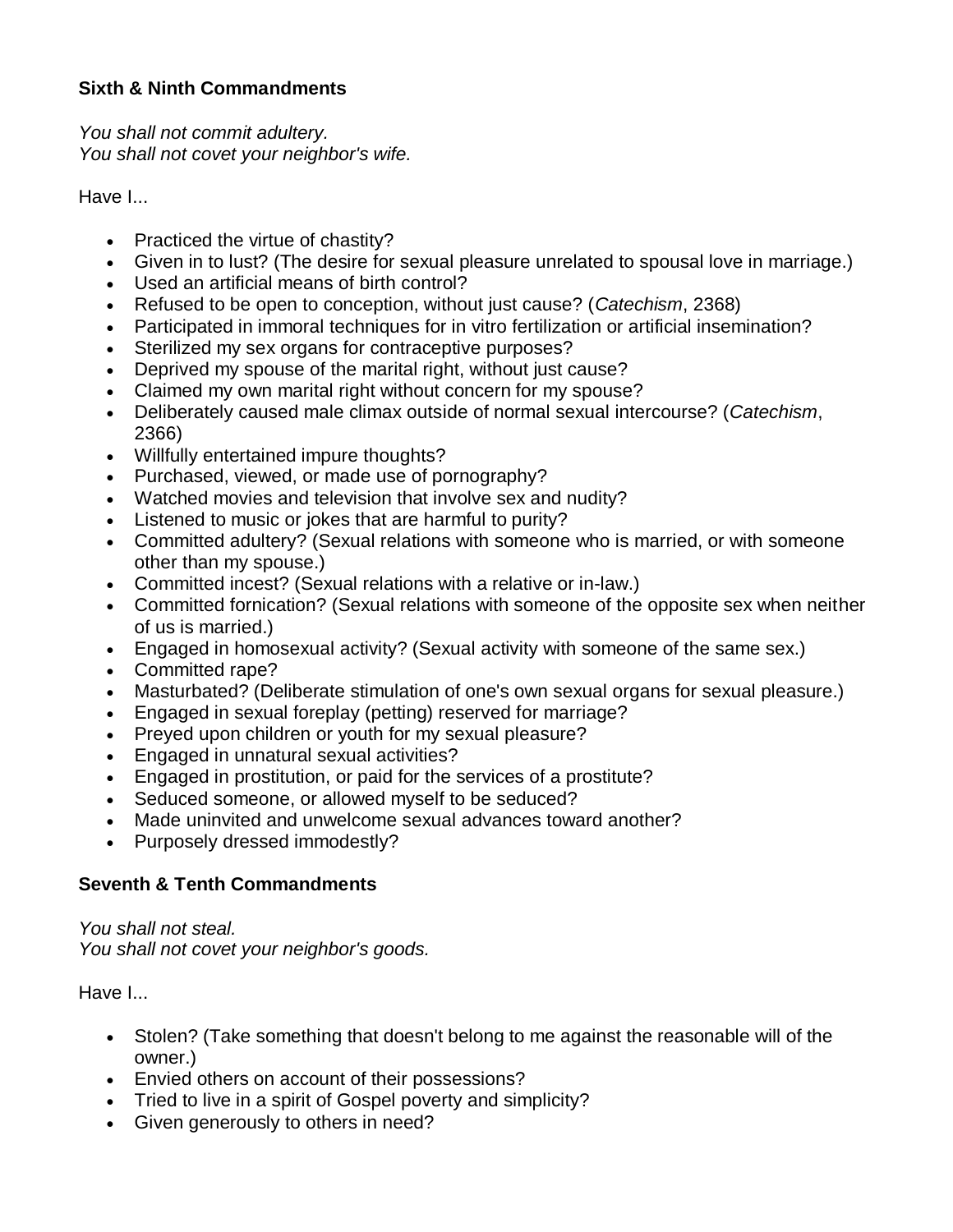# **Sixth & Ninth Commandments**

*You shall not commit adultery. You shall not covet your neighbor's wife.*

Have I...

- Practiced the virtue of chastity?
- Given in to lust? (The desire for sexual pleasure unrelated to spousal love in marriage.)
- Used an artificial means of birth control?
- Refused to be open to conception, without just cause? (*Catechism*, 2368)
- Participated in immoral techniques for in vitro fertilization or artificial insemination?
- Sterilized my sex organs for contraceptive purposes?
- Deprived my spouse of the marital right, without just cause?
- Claimed my own marital right without concern for my spouse?
- Deliberately caused male climax outside of normal sexual intercourse? (*Catechism*, 2366)
- Willfully entertained impure thoughts?
- Purchased, viewed, or made use of pornography?
- Watched movies and television that involve sex and nudity?
- Listened to music or jokes that are harmful to purity?
- Committed adultery? (Sexual relations with someone who is married, or with someone other than my spouse.)
- Committed incest? (Sexual relations with a relative or in-law.)
- Committed fornication? (Sexual relations with someone of the opposite sex when neither of us is married.)
- Engaged in homosexual activity? (Sexual activity with someone of the same sex.)
- Committed rape?
- Masturbated? (Deliberate stimulation of one's own sexual organs for sexual pleasure.)
- Engaged in sexual foreplay (petting) reserved for marriage?
- Preyed upon children or youth for my sexual pleasure?
- Engaged in unnatural sexual activities?
- Engaged in prostitution, or paid for the services of a prostitute?
- Seduced someone, or allowed myself to be seduced?
- Made uninvited and unwelcome sexual advances toward another?
- Purposely dressed immodestly?

# **Seventh & Tenth Commandments**

*You shall not steal. You shall not covet your neighbor's goods.*

- Stolen? (Take something that doesn't belong to me against the reasonable will of the owner.)
- Envied others on account of their possessions?
- Tried to live in a spirit of Gospel poverty and simplicity?
- Given generously to others in need?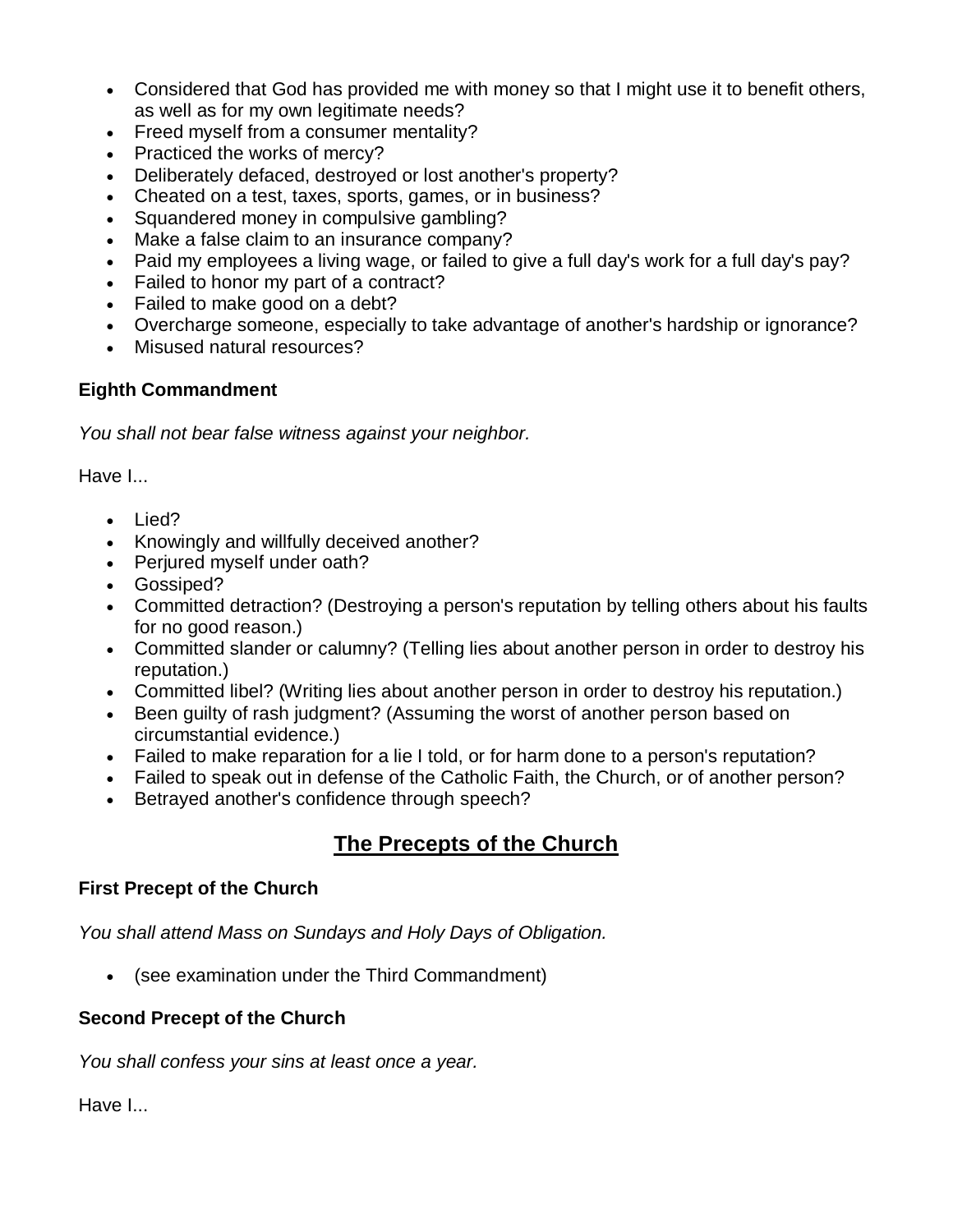- Considered that God has provided me with money so that I might use it to benefit others, as well as for my own legitimate needs?
- Freed myself from a consumer mentality?
- Practiced the works of mercy?
- Deliberately defaced, destroyed or lost another's property?
- Cheated on a test, taxes, sports, games, or in business?
- Squandered money in compulsive gambling?
- Make a false claim to an insurance company?
- Paid my employees a living wage, or failed to give a full day's work for a full day's pay?
- Failed to honor my part of a contract?
- Failed to make good on a debt?
- Overcharge someone, especially to take advantage of another's hardship or ignorance?
- Misused natural resources?

# **Eighth Commandment**

*You shall not bear false witness against your neighbor.*

Have I...

- Lied?
- Knowingly and willfully deceived another?
- Perjured myself under oath?
- Gossiped?
- Committed detraction? (Destroying a person's reputation by telling others about his faults for no good reason.)
- Committed slander or calumny? (Telling lies about another person in order to destroy his reputation.)
- Committed libel? (Writing lies about another person in order to destroy his reputation.)
- Been guilty of rash judgment? (Assuming the worst of another person based on circumstantial evidence.)
- Failed to make reparation for a lie I told, or for harm done to a person's reputation?
- Failed to speak out in defense of the Catholic Faith, the Church, or of another person?
- Betrayed another's confidence through speech?

# **The Precepts of the Church**

# **First Precept of the Church**

*You shall attend Mass on Sundays and Holy Days of Obligation.*

(see examination under the Third Commandment)

# **Second Precept of the Church**

*You shall confess your sins at least once a year.*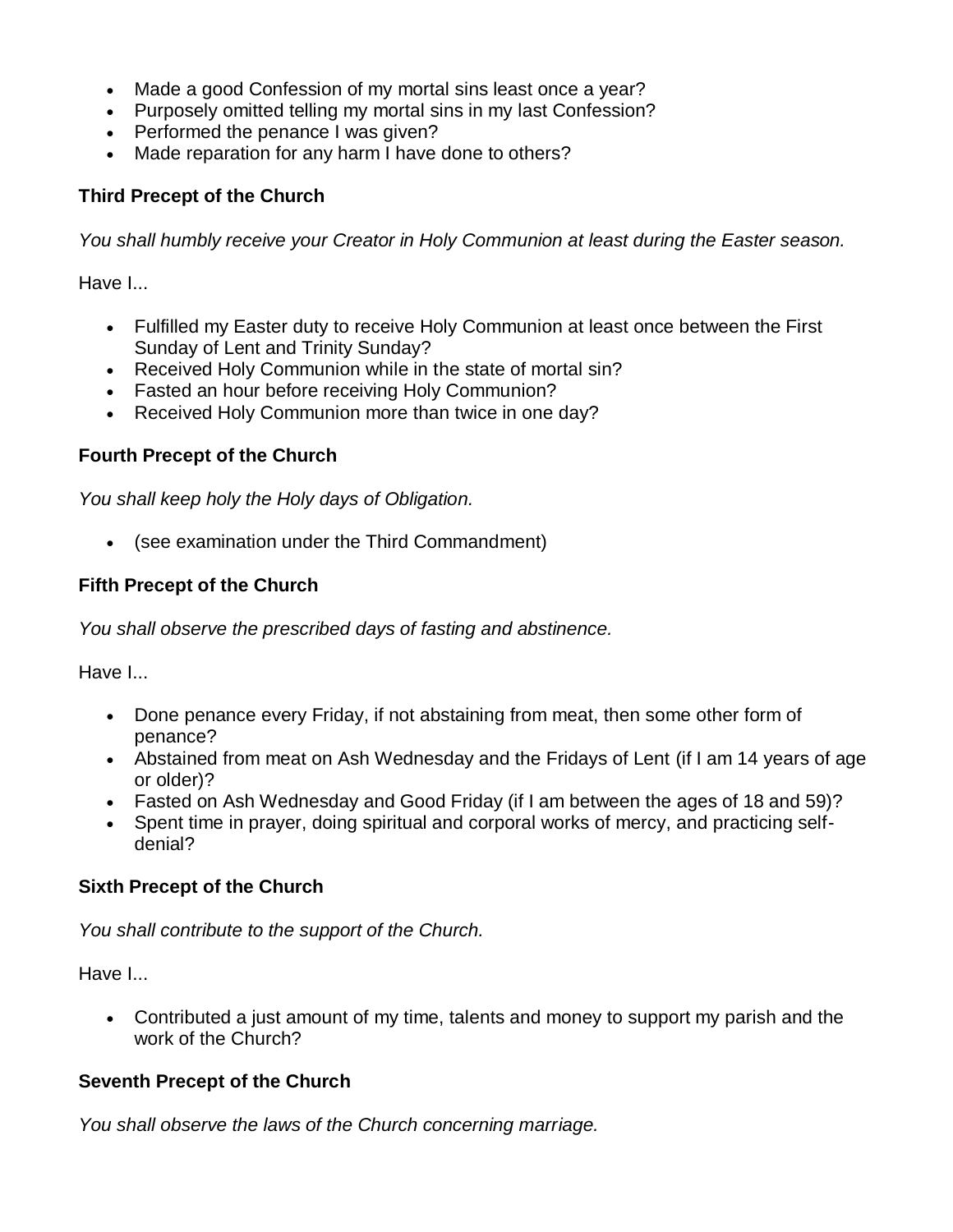- Made a good Confession of my mortal sins least once a year?
- Purposely omitted telling my mortal sins in my last Confession?
- Performed the penance I was given?
- Made reparation for any harm I have done to others?

#### **Third Precept of the Church**

*You shall humbly receive your Creator in Holy Communion at least during the Easter season.*

Have I...

- Fulfilled my Easter duty to receive Holy Communion at least once between the First Sunday of Lent and Trinity Sunday?
- Received Holy Communion while in the state of mortal sin?
- Fasted an hour before receiving Holy Communion?
- Received Holy Communion more than twice in one day?

#### **Fourth Precept of the Church**

*You shall keep holy the Holy days of Obligation.*

(see examination under the Third Commandment)

#### **Fifth Precept of the Church**

*You shall observe the prescribed days of fasting and abstinence.*

Have I...

- Done penance every Friday, if not abstaining from meat, then some other form of penance?
- Abstained from meat on Ash Wednesday and the Fridays of Lent (if I am 14 years of age or older)?
- Fasted on Ash Wednesday and Good Friday (if I am between the ages of 18 and 59)?
- Spent time in prayer, doing spiritual and corporal works of mercy, and practicing selfdenial?

#### **Sixth Precept of the Church**

*You shall contribute to the support of the Church.*

Have I...

 Contributed a just amount of my time, talents and money to support my parish and the work of the Church?

# **Seventh Precept of the Church**

*You shall observe the laws of the Church concerning marriage.*